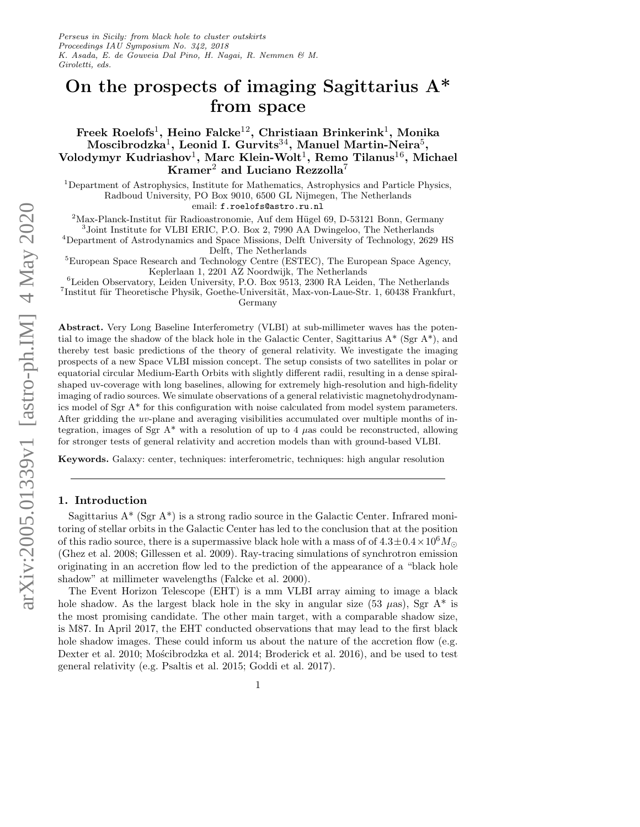# On the prospects of imaging Sagittarius A\* from space

## Freek Roelofs<sup>1</sup>, Heino Falcke<sup>12</sup>, Christiaan Brinkerink<sup>1</sup>, Monika  ${\rm Moscibrodzka^1,\ Leonid\ I.\ Gurvits^{34},\ Manuel\ Martin-Neira^5, }$ Volodymyr Kudriashov<sup>1</sup>, Marc Klein-Wolt<sup>1</sup>, Remo Tilanus<sup>16</sup>, Michael Kramer<sup>2</sup> and Luciano Rezzolla<sup>7</sup>

<sup>1</sup>Department of Astrophysics, Institute for Mathematics, Astrophysics and Particle Physics, Radboud University, PO Box 9010, 6500 GL Nijmegen, The Netherlands email: f.roelofs@astro.ru.nl

 $2$ Max-Planck-Institut für Radioastronomie, Auf dem Hügel 69, D-53121 Bonn, Germany

<sup>3</sup>Joint Institute for VLBI ERIC, P.O. Box 2, 7990 AA Dwingeloo, The Netherlands

<sup>4</sup>Department of Astrodynamics and Space Missions, Delft University of Technology, 2629 HS Delft, The Netherlands

<sup>5</sup>European Space Research and Technology Centre (ESTEC), The European Space Agency, Keplerlaan 1, 2201 AZ Noordwijk, The Netherlands

<sup>6</sup>Leiden Observatory, Leiden University, P.O. Box 9513, 2300 RA Leiden, The Netherlands <sup>7</sup>Institut für Theoretische Physik, Goethe-Universität, Max-von-Laue-Str. 1, 60438 Frankfurt, Germany

Abstract. Very Long Baseline Interferometry (VLBI) at sub-millimeter waves has the potential to image the shadow of the black hole in the Galactic Center, Sagittarius  $A^*$  (Sgr  $A^*$ ), and thereby test basic predictions of the theory of general relativity. We investigate the imaging prospects of a new Space VLBI mission concept. The setup consists of two satellites in polar or equatorial circular Medium-Earth Orbits with slightly different radii, resulting in a dense spiralshaped uv-coverage with long baselines, allowing for extremely high-resolution and high-fidelity imaging of radio sources. We simulate observations of a general relativistic magnetohydrodynamics model of Sgr A\* for this configuration with noise calculated from model system parameters. After gridding the uv-plane and averaging visibilities accumulated over multiple months of integration, images of Sgr A\* with a resolution of up to 4  $\mu$ as could be reconstructed, allowing for stronger tests of general relativity and accretion models than with ground-based VLBI.

Keywords. Galaxy: center, techniques: interferometric, techniques: high angular resolution

## 1. Introduction

Sagittarius  $A^*$  (Sgr  $A^*$ ) is a strong radio source in the Galactic Center. Infrared monitoring of stellar orbits in the Galactic Center has led to the conclusion that at the position of this radio source, there is a supermassive black hole with a mass of of  $4.3\pm0.4\times10^6M_{\odot}$ (Ghez et al. 2008; Gillessen et al. 2009). Ray-tracing simulations of synchrotron emission originating in an accretion flow led to the prediction of the appearance of a "black hole shadow" at millimeter wavelengths (Falcke et al. 2000).

The Event Horizon Telescope (EHT) is a mm VLBI array aiming to image a black hole shadow. As the largest black hole in the sky in angular size (53  $\mu$ as), Sgr A<sup>\*</sup> is the most promising candidate. The other main target, with a comparable shadow size, is M87. In April 2017, the EHT conducted observations that may lead to the first black hole shadow images. These could inform us about the nature of the accretion flow (e.g. Dexter et al. 2010; Mościbrodzka et al. 2014; Broderick et al. 2016), and be used to test general relativity (e.g. Psaltis et al. 2015; Goddi et al. 2017).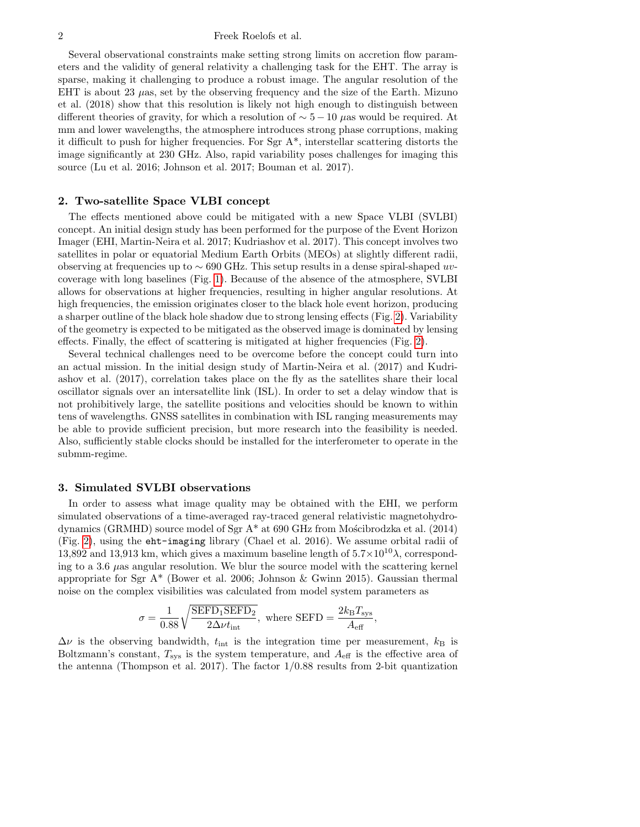#### 2 Freek Roelofs et al.

Several observational constraints make setting strong limits on accretion flow parameters and the validity of general relativity a challenging task for the EHT. The array is sparse, making it challenging to produce a robust image. The angular resolution of the EHT is about 23  $\mu$ as, set by the observing frequency and the size of the Earth. Mizuno et al. (2018) show that this resolution is likely not high enough to distinguish between different theories of gravity, for which a resolution of  $\sim 5 - 10 \,\mu$ as would be required. At mm and lower wavelengths, the atmosphere introduces strong phase corruptions, making it difficult to push for higher frequencies. For Sgr A\*, interstellar scattering distorts the image significantly at 230 GHz. Also, rapid variability poses challenges for imaging this source (Lu et al. 2016; Johnson et al. 2017; Bouman et al. 2017).

### 2. Two-satellite Space VLBI concept

The effects mentioned above could be mitigated with a new Space VLBI (SVLBI) concept. An initial design study has been performed for the purpose of the Event Horizon Imager (EHI, Martin-Neira et al. 2017; Kudriashov et al. 2017). This concept involves two satellites in polar or equatorial Medium Earth Orbits (MEOs) at slightly different radii, observing at frequencies up to  $\sim 690$  GHz. This setup results in a dense spiral-shaped wcoverage with long baselines (Fig. [1\)](#page-2-0). Because of the absence of the atmosphere, SVLBI allows for observations at higher frequencies, resulting in higher angular resolutions. At high frequencies, the emission originates closer to the black hole event horizon, producing a sharper outline of the black hole shadow due to strong lensing effects (Fig. [2\)](#page-2-0). Variability of the geometry is expected to be mitigated as the observed image is dominated by lensing effects. Finally, the effect of scattering is mitigated at higher frequencies (Fig. [2\)](#page-2-0).

Several technical challenges need to be overcome before the concept could turn into an actual mission. In the initial design study of Martin-Neira et al. (2017) and Kudriashov et al. (2017), correlation takes place on the fly as the satellites share their local oscillator signals over an intersatellite link (ISL). In order to set a delay window that is not prohibitively large, the satellite positions and velocities should be known to within tens of wavelengths. GNSS satellites in combination with ISL ranging measurements may be able to provide sufficient precision, but more research into the feasibility is needed. Also, sufficiently stable clocks should be installed for the interferometer to operate in the submm-regime.

## 3. Simulated SVLBI observations

In order to assess what image quality may be obtained with the EHI, we perform simulated observations of a time-averaged ray-traced general relativistic magnetohydrodynamics (GRMHD) source model of Sgr  $A^*$  at 690 GHz from Moscibrodzka et al. (2014) (Fig. [2\)](#page-2-0), using the eht-imaging library (Chael et al. 2016). We assume orbital radii of 13,892 and 13,913 km, which gives a maximum baseline length of  $5.7 \times 10^{10} \lambda$ , corresponding to a 3.6 µas angular resolution. We blur the source model with the scattering kernel appropriate for Sgr A\* (Bower et al. 2006; Johnson & Gwinn 2015). Gaussian thermal noise on the complex visibilities was calculated from model system parameters as

$$
\sigma = \frac{1}{0.88} \sqrt{\frac{\text{SEFD}_1 \text{SEFD}_2}{2\Delta\nu t_{\text{int}}}}, \text{ where } \text{SEFD} = \frac{2k_{\text{B}}T_{\text{sys}}}{A_{\text{eff}}},
$$

 $\Delta \nu$  is the observing bandwidth,  $t_{\text{int}}$  is the integration time per measurement,  $k_{\text{B}}$  is Boltzmann's constant,  $T_{\rm sys}$  is the system temperature, and  $A_{\rm eff}$  is the effective area of the antenna (Thompson et al. 2017). The factor 1/0.88 results from 2-bit quantization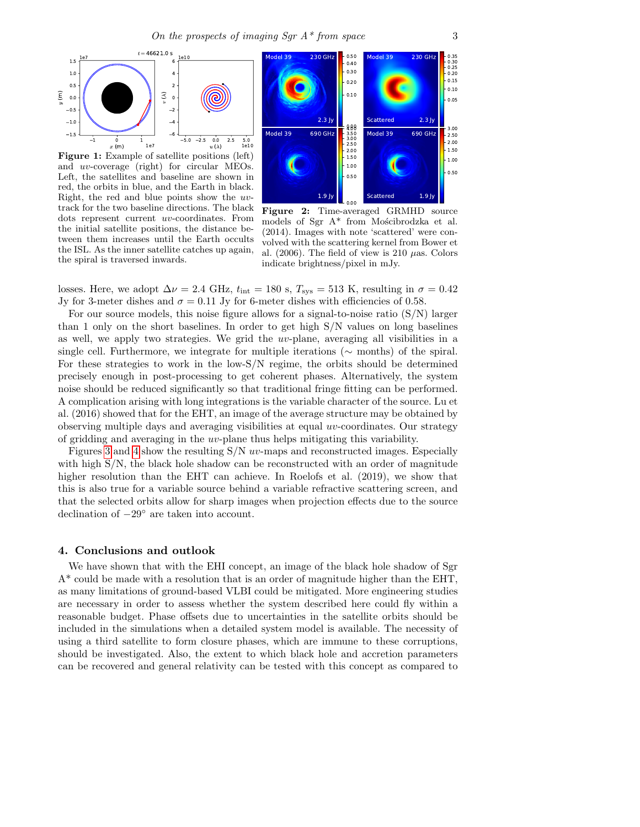<span id="page-2-0"></span>

Figure 1: Example of satellite positions (left) and uv-coverage (right) for circular MEOs. Left, the satellites and baseline are shown in red, the orbits in blue, and the Earth in black. Right, the red and blue points show the uvtrack for the two baseline directions. The black dots represent current uv-coordinates. From the initial satellite positions, the distance between them increases until the Earth occults the ISL. As the inner satellite catches up again, the spiral is traversed inwards.



Figure 2: Time-averaged GRMHD source models of Sgr  $A^*$  from Mościbrodzka et al. (2014). Images with note 'scattered' were convolved with the scattering kernel from Bower et al. (2006). The field of view is 210  $\mu$ as. Colors indicate brightness/pixel in mJy.

losses. Here, we adopt  $\Delta \nu = 2.4$  GHz,  $t_{\rm int} = 180$  s,  $T_{\rm sys} = 513$  K, resulting in  $\sigma = 0.42$ Jy for 3-meter dishes and  $\sigma = 0.11$  Jy for 6-meter dishes with efficiencies of 0.58.

For our source models, this noise figure allows for a signal-to-noise ratio (S/N) larger than 1 only on the short baselines. In order to get high S/N values on long baselines as well, we apply two strategies. We grid the  $uv$ -plane, averaging all visibilities in a single cell. Furthermore, we integrate for multiple iterations ( $\sim$  months) of the spiral. For these strategies to work in the low-S/N regime, the orbits should be determined precisely enough in post-processing to get coherent phases. Alternatively, the system noise should be reduced significantly so that traditional fringe fitting can be performed. A complication arising with long integrations is the variable character of the source. Lu et al. (2016) showed that for the EHT, an image of the average structure may be obtained by observing multiple days and averaging visibilities at equal uv-coordinates. Our strategy of gridding and averaging in the uv-plane thus helps mitigating this variability.

Figures [3](#page-3-0) and [4](#page-3-0) show the resulting S/N uv-maps and reconstructed images. Especially with high S/N, the black hole shadow can be reconstructed with an order of magnitude higher resolution than the EHT can achieve. In Roelofs et al. (2019), we show that this is also true for a variable source behind a variable refractive scattering screen, and that the selected orbits allow for sharp images when projection effects due to the source declination of −29◦ are taken into account.

#### 4. Conclusions and outlook

We have shown that with the EHI concept, an image of the black hole shadow of Sgr A\* could be made with a resolution that is an order of magnitude higher than the EHT, as many limitations of ground-based VLBI could be mitigated. More engineering studies are necessary in order to assess whether the system described here could fly within a reasonable budget. Phase offsets due to uncertainties in the satellite orbits should be included in the simulations when a detailed system model is available. The necessity of using a third satellite to form closure phases, which are immune to these corruptions, should be investigated. Also, the extent to which black hole and accretion parameters can be recovered and general relativity can be tested with this concept as compared to